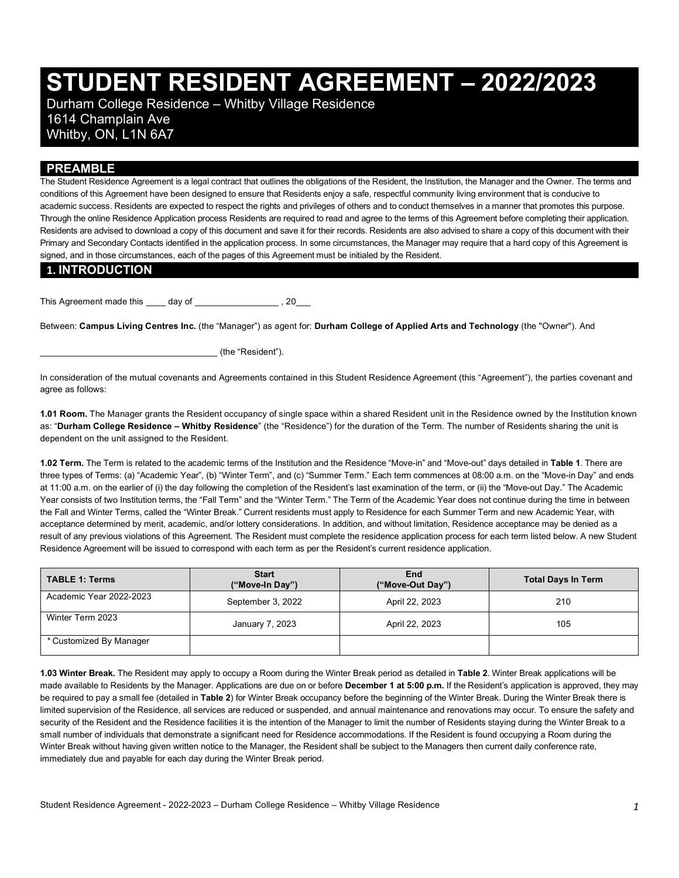# **STUDENT RESIDENT AGREEMENT – 2022/2023**

 1614 Champlain Ave Whitby, ON, L1N 6A7 Durham College Residence – Whitby Village Residence

#### **PREAMBLE**

 The Student Residence Agreement is a legal contract that outlines the obligations of the Resident, the Institution, the Manager and the Owner. The terms and conditions of this Agreement have been designed to ensure that Residents enjoy a safe, respectful community living environment that is conducive to academic success. Residents are expected to respect the rights and privileges of others and to conduct themselves in a manner that promotes this purpose. Through the online Residence Application process Residents are required to read and agree to the terms of this Agreement before completing their application. Residents are advised to download a copy of this document and save it for their records. Residents are also advised to share a copy of this document with their Primary and Secondary Contacts identified in the application process. In some circumstances, the Manager may require that a hard copy of this Agreement is signed, and in those circumstances, each of the pages of this Agreement must be initialed by the Resident.

#### **1. INTRODUCTION**

This Agreement made this \_\_\_\_\_ day of \_\_\_\_\_\_\_\_\_\_\_\_\_\_\_\_\_\_\_, 20\_\_\_

 Between: **Campus Living Centres Inc.** (the "Manager") as agent for: **Durham College of Applied Arts and Technology** (the "Owner"). And

\_\_\_\_\_\_\_\_\_\_\_\_\_\_\_\_\_\_\_\_\_\_\_\_\_\_\_\_\_\_\_\_\_\_\_\_ (the "Resident").

 In consideration of the mutual covenants and Agreements contained in this Student Residence Agreement (this "Agreement"), the parties covenant and agree as follows:

 **1.01 Room.** The Manager grants the Resident occupancy of single space within a shared Resident unit in the Residence owned by the Institution known  as: "**Durham College Residence – Whitby Residence**" (the "Residence") for the duration of the Term. The number of Residents sharing the unit is dependent on the unit assigned to the Resident.

 **1.02 Term.** The Term is related to the academic terms of the Institution and the Residence "Move-in" and "Move-out" days detailed in **Table 1**. There are three types of Terms: (a) "Academic Year", (b) "Winter Term", and (c) "Summer Term." Each term commences at 08:00 a.m. on the "Move-in Day" and ends at 11:00 a.m. on the earlier of (i) the day following the completion of the Resident's last examination of the term, or (ii) the "Move-out Day." The Academic Year consists of two Institution terms, the "Fall Term" and the "Winter Term." The Term of the Academic Year does not continue during the time in between acceptance determined by merit, academic, and/or lottery considerations. In addition, and without limitation, Residence acceptance may be denied as a result of any previous violations of this Agreement. The Resident must complete the residence application process for each term listed below. A new Student Residence Agreement will be issued to correspond with each term as per the Resident's current residence application. the Fall and Winter Terms, called the "Winter Break." Current residents must apply to Residence for each Summer Term and new Academic Year, with

| <b>TABLE 1: Terms</b>   | <b>Start</b><br>("Move-In Day") | End<br>("Move-Out Day") | <b>Total Days In Term</b> |
|-------------------------|---------------------------------|-------------------------|---------------------------|
| Academic Year 2022-2023 | September 3, 2022               | April 22, 2023          | 210                       |
| Winter Term 2023        | January 7, 2023                 | April 22, 2023          | 105                       |
| * Customized By Manager |                                 |                         |                           |

 **1.03 Winter Break.** The Resident may apply to occupy a Room during the Winter Break period as detailed in **Table 2**. Winter Break applications will be made available to Residents by the Manager. Applications are due on or before **December 1 at 5:00 p.m.** If the Resident's application is approved, they may be required to pay a small fee (detailed in **Table 2**) for Winter Break occupancy before the beginning of the Winter Break. During the Winter Break there is limited supervision of the Residence, all services are reduced or suspended, and annual maintenance and renovations may occur. To ensure the safety and security of the Resident and the Residence facilities it is the intention of the Manager to limit the number of Residents staying during the Winter Break to a small number of individuals that demonstrate a significant need for Residence accommodations. If the Resident is found occupying a Room during the Winter Break without having given written notice to the Manager, the Resident shall be subject to the Managers then current daily conference rate, immediately due and payable for each day during the Winter Break period.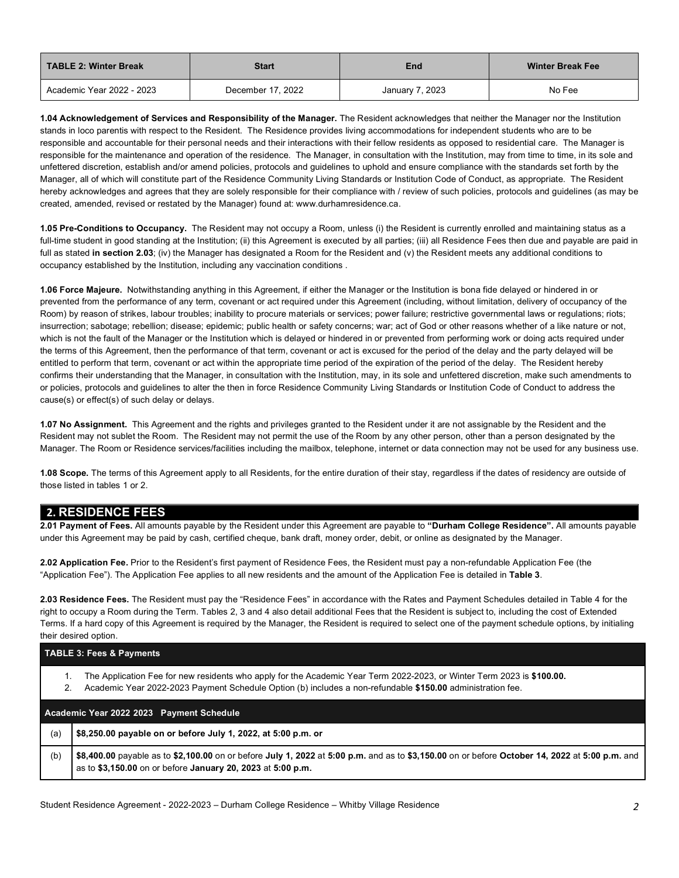| <b>TABLE 2: Winter Break</b> | Start             | End             | <b>Winter Break Fee</b> |
|------------------------------|-------------------|-----------------|-------------------------|
| Academic Year 2022 - 2023    | December 17, 2022 | January 7, 2023 | No Fee                  |

 **1.04 Acknowledgement of Services and Responsibility of the Manager.** The Resident acknowledges that neither the Manager nor the Institution stands in loco parentis with respect to the Resident. The Residence provides living accommodations for independent students who are to be responsible and accountable for their personal needs and their interactions with their fellow residents as opposed to residential care. The Manager is responsible for the maintenance and operation of the residence. The Manager, in consultation with the Institution, may from time to time, in its sole and unfettered discretion, establish and/or amend policies, protocols and guidelines to uphold and ensure compliance with the standards set forth by the Manager, all of which will constitute part of the Residence Community Living Standards or Institution Code of Conduct, as appropriate. The Resident hereby acknowledges and agrees that they are solely responsible for their compliance with / review of such policies, protocols and guidelines (as may be created, amended, revised or restated by the Manager) found at:<www.durhamresidence.ca>.

 **1.05 Pre-Conditions to Occupancy.** The Resident may not occupy a Room, unless (i) the Resident is currently enrolled and maintaining status as a full-time student in good standing at the Institution; (ii) this Agreement is executed by all parties; (iii) all Residence Fees then due and payable are paid in full as stated **in section 2.03**; (iv) the Manager has designated a Room for the Resident and (v) the Resident meets any additional conditions to occupancy established by the Institution, including any vaccination conditions .

 **1.06 Force Majeure.** Notwithstanding anything in this Agreement, if either the Manager or the Institution is bona fide delayed or hindered in or prevented from the performance of any term, covenant or act required under this Agreement (including, without limitation, delivery of occupancy of the Room) by reason of strikes, labour troubles; inability to procure materials or services; power failure; restrictive governmental laws or regulations; riots; insurrection; sabotage; rebellion; disease; epidemic; public health or safety concerns; war; act of God or other reasons whether of a like nature or not, which is not the fault of the Manager or the Institution which is delayed or hindered in or prevented from performing work or doing acts required under the terms of this Agreement, then the performance of that term, covenant or act is excused for the period of the delay and the party delayed will be entitled to perform that term, covenant or act within the appropriate time period of the expiration of the period of the delay. The Resident hereby confirms their understanding that the Manager, in consultation with the Institution, may, in its sole and unfettered discretion, make such amendments to or policies, protocols and guidelines to alter the then in force Residence Community Living Standards or Institution Code of Conduct to address the cause(s) or effect(s) of such delay or delays.

 **1.07 No Assignment.** This Agreement and the rights and privileges granted to the Resident under it are not assignable by the Resident and the Resident may not sublet the Room. The Resident may not permit the use of the Room by any other person, other than a person designated by the Manager. The Room or Residence services/facilities including the mailbox, telephone, internet or data connection may not be used for any business use.

 **1.08 Scope.** The terms of this Agreement apply to all Residents, for the entire duration of their stay, regardless if the dates of residency are outside of those listed in tables 1 or 2.

#### **2. RESIDENCE FEES**

 **2.01 Payment of Fees.** All amounts payable by the Resident under this Agreement are payable to **"Durham College Residence".** All amounts payable under this Agreement may be paid by cash, certified cheque, bank draft, money order, debit, or online as designated by the Manager.

 **2.02 Application Fee.** Prior to the Resident's first payment of Residence Fees, the Resident must pay a non-refundable Application Fee (the "Application Fee"). The Application Fee applies to all new residents and the amount of the Application Fee is detailed in **Table 3**.

 **2.03 Residence Fees.** The Resident must pay the "Residence Fees" in accordance with the Rates and Payment Schedules detailed in Table 4 for the right to occupy a Room during the Term. Tables 2, 3 and 4 also detail additional Fees that the Resident is subject to, including the cost of Extended Terms. If a hard copy of this Agreement is required by the Manager, the Resident is required to select one of the payment schedule options, by initialing their desired option.

# **TABLE 3: Fees & Payments**  1. The Application Fee for new residents who apply for the Academic Year Term 2022-2023, or Winter Term 2023 is **\$100.00.**

2. Academic Year 2022-2023 Payment Schedule Option (b) includes a non-refundable **\$150.00** administration fee.

 **- - Academic Year 2022 2023 Payment Schedule** 

 (a) **\$8,250.00 payable on or before July 1, 2022, at 5:00 p.m. or** 

 (b) **\$8,400.00** payable as to **\$2,100.00** on or before **July 1, 2022** at **5:00 p.m.** and as to **\$3,150.00** on or before **October 14, 2022** at **5:00 p.m.** and as to **\$3,150.00** on or before **January 20, 2023** at **5:00 p.m.**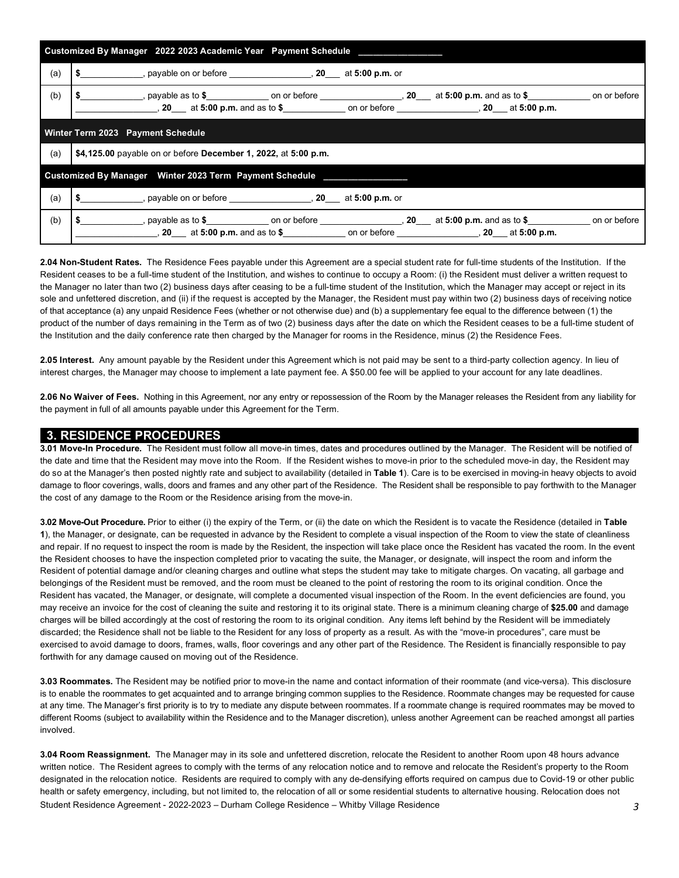| Customized By Manager 2022 2023 Academic Year Payment Schedule        |                                                                                                                                                                                                                                     |  |  |  |  |  |  |  |  |
|-----------------------------------------------------------------------|-------------------------------------------------------------------------------------------------------------------------------------------------------------------------------------------------------------------------------------|--|--|--|--|--|--|--|--|
| (a)                                                                   | $\frac{1}{2}$ $\frac{1}{2}$ at 5:00 p.m. or                                                                                                                                                                                         |  |  |  |  |  |  |  |  |
| (b)                                                                   | <b>5</b> And the set of the set of the set of the set of the set of the set of the set of the set of the set of the set of the set of the set of the set of the set of the set of the set of the set of the set of the set of the s |  |  |  |  |  |  |  |  |
| Winter Term 2023 Payment Schedule                                     |                                                                                                                                                                                                                                     |  |  |  |  |  |  |  |  |
| (a)<br>\$4,125.00 payable on or before December 1, 2022, at 5:00 p.m. |                                                                                                                                                                                                                                     |  |  |  |  |  |  |  |  |
|                                                                       |                                                                                                                                                                                                                                     |  |  |  |  |  |  |  |  |
| (a)                                                                   | \$ ______________, payable on or before ________________________, 20 ____ at 5:00 p.m. or                                                                                                                                           |  |  |  |  |  |  |  |  |
| (b)                                                                   | \$ payable as to \$ on or before , 20 at 5:00 p.m. and as to \$ on or before<br>$(20 \t at 5.00 \t p.m.$ and as to \$ on or before $(20 \t at 5.00 \t p.m.$                                                                         |  |  |  |  |  |  |  |  |

 **2.04 Non-Student Rates.** The Residence Fees payable under this Agreement are a special student rate for full-time students of the Institution. If the Resident ceases to be a full-time student of the Institution, and wishes to continue to occupy a Room: (i) the Resident must deliver a written request to the Manager no later than two (2) business days after ceasing to be a full-time student of the Institution, which the Manager may accept or reject in its sole and unfettered discretion, and (ii) if the request is accepted by the Manager, the Resident must pay within two (2) business days of receiving notice of that acceptance (a) any unpaid Residence Fees (whether or not otherwise due) and (b) a supplementary fee equal to the difference between (1) the product of the number of days remaining in the Term as of two (2) business days after the date on which the Resident ceases to be a full-time student of the Institution and the daily conference rate then charged by the Manager for rooms in the Residence, minus (2) the Residence Fees.

 **2.05 Interest.** Any amount payable by the Resident under this Agreement which is not paid may be sent to a third-party collection agency. In lieu of interest charges, the Manager may choose to implement a late payment fee. A \$50.00 fee will be applied to your account for any late deadlines.

 **2.06 No Waiver of Fees.** Nothing in this Agreement, nor any entry or repossession of the Room by the Manager releases the Resident from any liability for the payment in full of all amounts payable under this Agreement for the Term.

#### **3. RESIDENCE PROCEDURES**

 **3.01 Move-In Procedure.** The Resident must follow all move-in times, dates and procedures outlined by the Manager. The Resident will be notified of the date and time that the Resident may move into the Room. If the Resident wishes to move-in prior to the scheduled move-in day, the Resident may do so at the Manager's then posted nightly rate and subject to availability (detailed in **Table 1**). Care is to be exercised in moving-in heavy objects to avoid damage to floor coverings, walls, doors and frames and any other part of the Residence. The Resident shall be responsible to pay forthwith to the Manager the cost of any damage to the Room or the Residence arising from the move-in.

 **3.02 Move-Out Procedure.** Prior to either (i) the expiry of the Term, or (ii) the date on which the Resident is to vacate the Residence (detailed in **Table 1**), the Manager, or designate, can be requested in advance by the Resident to complete a visual inspection of the Room to view the state of cleanliness and repair. If no request to inspect the room is made by the Resident, the inspection will take place once the Resident has vacated the room. In the event the Resident chooses to have the inspection completed prior to vacating the suite, the Manager, or designate, will inspect the room and inform the Resident of potential damage and/or cleaning charges and outline what steps the student may take to mitigate charges. On vacating, all garbage and belongings of the Resident must be removed, and the room must be cleaned to the point of restoring the room to its original condition. Once the Resident has vacated, the Manager, or designate, will complete a documented visual inspection of the Room. In the event deficiencies are found, you may receive an invoice for the cost of cleaning the suite and restoring it to its original state. There is a minimum cleaning charge of **\$25.00** and damage charges will be billed accordingly at the cost of restoring the room to its original condition. Any items left behind by the Resident will be immediately discarded; the Residence shall not be liable to the Resident for any loss of property as a result. As with the "move-in procedures", care must be forthwith for any damage caused on moving out of the Residence. exercised to avoid damage to doors, frames, walls, floor coverings and any other part of the Residence. The Resident is financially responsible to pay

 **3.03 Roommates.** The Resident may be notified prior to move-in the name and contact information of their roommate (and vice-versa). This disclosure is to enable the roommates to get acquainted and to arrange bringing common supplies to the Residence. Roommate changes may be requested for cause at any time. The Manager's first priority is to try to mediate any dispute between roommates. If a roommate change is required roommates may be moved to different Rooms (subject to availability within the Residence and to the Manager discretion), unless another Agreement can be reached amongst all parties involved.

 Student Residence Agreement - 2022-2023 – Durham College Residence – Whitby Village Residence *3*  **3.04 Room Reassignment.** The Manager may in its sole and unfettered discretion, relocate the Resident to another Room upon 48 hours advance written notice. The Resident agrees to comply with the terms of any relocation notice and to remove and relocate the Resident's property to the Room designated in the relocation notice. Residents are required to comply with any de-densifying efforts required on campus due to Covid-19 or other public health or safety emergency, including, but not limited to, the relocation of all or some residential students to alternative housing. Relocation does not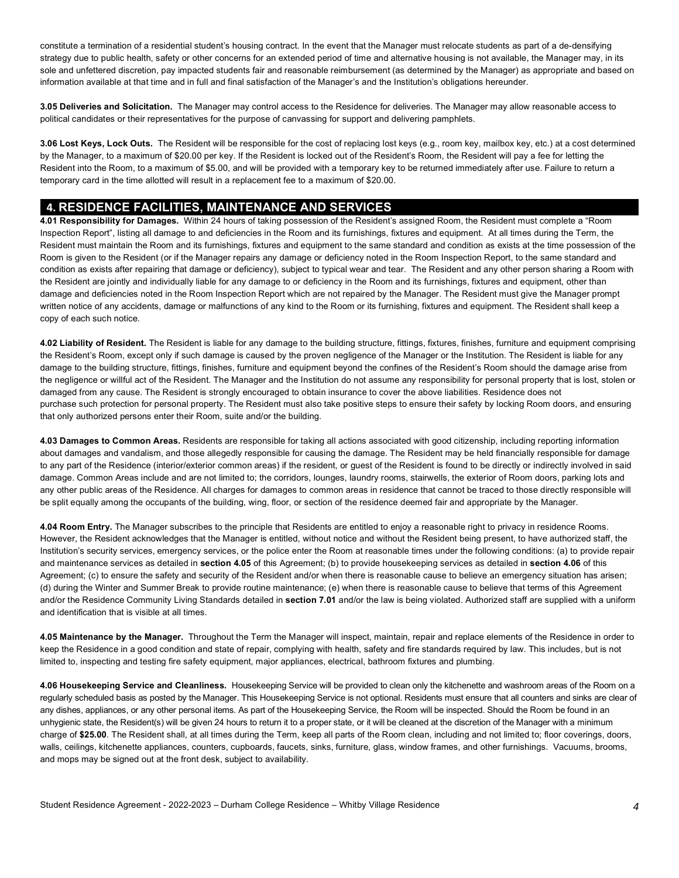constitute a termination of a residential student's housing contract. In the event that the Manager must relocate students as part of a de-densifying strategy due to public health, safety or other concerns for an extended period of time and alternative housing is not available, the Manager may, in its sole and unfettered discretion, pay impacted students fair and reasonable reimbursement (as determined by the Manager) as appropriate and based on information available at that time and in full and final satisfaction of the Manager's and the Institution's obligations hereunder.

 **3.05 Deliveries and Solicitation.** The Manager may control access to the Residence for deliveries. The Manager may allow reasonable access to political candidates or their representatives for the purpose of canvassing for support and delivering pamphlets.

 **3.06 Lost Keys, Lock Outs.** The Resident will be responsible for the cost of replacing lost keys (e.g., room key, mailbox key, etc.) at a cost determined by the Manager, to a maximum of \$20.00 per key. If the Resident is locked out of the Resident's Room, the Resident will pay a fee for letting the Resident into the Room, to a maximum of \$5.00, and will be provided with a temporary key to be returned immediately after use. Failure to return a temporary card in the time allotted will result in a replacement fee to a maximum of \$20.00.

### **4. RESIDENCE FACILITIES, MAINTENANCE AND SERVICES**

 **4.01 Responsibility for Damages.** Within 24 hours of taking possession of the Resident's assigned Room, the Resident must complete a "Room Inspection Report", listing all damage to and deficiencies in the Room and its furnishings, fixtures and equipment. At all times during the Term, the Resident must maintain the Room and its furnishings, fixtures and equipment to the same standard and condition as exists at the time possession of the Room is given to the Resident (or if the Manager repairs any damage or deficiency noted in the Room Inspection Report, to the same standard and condition as exists after repairing that damage or deficiency), subject to typical wear and tear. The Resident and any other person sharing a Room with the Resident are jointly and individually liable for any damage to or deficiency in the Room and its furnishings, fixtures and equipment, other than damage and deficiencies noted in the Room Inspection Report which are not repaired by the Manager. The Resident must give the Manager prompt written notice of any accidents, damage or malfunctions of any kind to the Room or its furnishing, fixtures and equipment. The Resident shall keep a copy of each such notice.

 **4.02 Liability of Resident.** The Resident is liable for any damage to the building structure, fittings, fixtures, finishes, furniture and equipment comprising the Resident's Room, except only if such damage is caused by the proven negligence of the Manager or the Institution. The Resident is liable for any damage to the building structure, fittings, finishes, furniture and equipment beyond the confines of the Resident's Room should the damage arise from the negligence or willful act of the Resident. The Manager and the Institution do not assume any responsibility for personal property that is lost, stolen or damaged from any cause. The Resident is strongly encouraged to obtain insurance to cover the above liabilities. Residence does not purchase such protection for personal property. The Resident must also take positive steps to ensure their safety by locking Room doors, and ensuring that only authorized persons enter their Room, suite and/or the building.

 **4.03 Damages to Common Areas.** Residents are responsible for taking all actions associated with good citizenship, including reporting information about damages and vandalism, and those allegedly responsible for causing the damage. The Resident may be held financially responsible for damage to any part of the Residence (interior/exterior common areas) if the resident, or guest of the Resident is found to be directly or indirectly involved in said damage. Common Areas include and are not limited to; the corridors, lounges, laundry rooms, stairwells, the exterior of Room doors, parking lots and any other public areas of the Residence. All charges for damages to common areas in residence that cannot be traced to those directly responsible will be split equally among the occupants of the building, wing, floor, or section of the residence deemed fair and appropriate by the Manager.

 **4.04 Room Entry.** The Manager subscribes to the principle that Residents are entitled to enjoy a reasonable right to privacy in residence Rooms. However, the Resident acknowledges that the Manager is entitled, without notice and without the Resident being present, to have authorized staff, the Institution's security services, emergency services, or the police enter the Room at reasonable times under the following conditions: (a) to provide repair and maintenance services as detailed in **section 4.05** of this Agreement; (b) to provide housekeeping services as detailed in **section 4.06** of this Agreement; (c) to ensure the safety and security of the Resident and/or when there is reasonable cause to believe an emergency situation has arisen; (d) during the Winter and Summer Break to provide routine maintenance; (e) when there is reasonable cause to believe that terms of this Agreement and/or the Residence Community Living Standards detailed in **section 7.01** and/or the law is being violated. Authorized staff are supplied with a uniform and identification that is visible at all times.

 **4.05 Maintenance by the Manager.** Throughout the Term the Manager will inspect, maintain, repair and replace elements of the Residence in order to keep the Residence in a good condition and state of repair, complying with health, safety and fire standards required by law. This includes, but is not limited to, inspecting and testing fire safety equipment, major appliances, electrical, bathroom fixtures and plumbing.

 **4.06 Housekeeping Service and Cleanliness.** Housekeeping Service will be provided to clean only the kitchenette and washroom areas of the Room on a regularly scheduled basis as posted by the Manager. This Housekeeping Service is not optional. Residents must ensure that all counters and sinks are clear of any dishes, appliances, or any other personal items. As part of the Housekeeping Service, the Room will be inspected. Should the Room be found in an unhygienic state, the Resident(s) will be given 24 hours to return it to a proper state, or it will be cleaned at the discretion of the Manager with a minimum charge of **\$25.00**. The Resident shall, at all times during the Term, keep all parts of the Room clean, including and not limited to; floor coverings, doors, walls, ceilings, kitchenette appliances, counters, cupboards, faucets, sinks, furniture, glass, window frames, and other furnishings. Vacuums, brooms, and mops may be signed out at the front desk, subject to availability.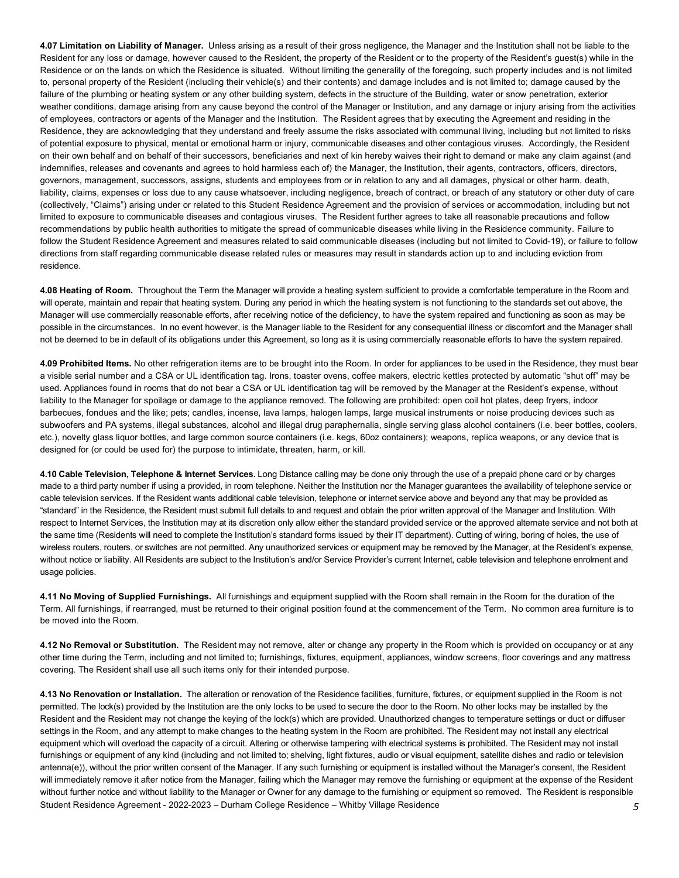**4.07 Limitation on Liability of Manager.** Unless arising as a result of their gross negligence, the Manager and the Institution shall not be liable to the Resident for any loss or damage, however caused to the Resident, the property of the Resident or to the property of the Resident's guest(s) while in the Residence or on the lands on which the Residence is situated. Without limiting the generality of the foregoing, such property includes and is not limited to, personal property of the Resident (including their vehicle(s) and their contents) and damage includes and is not limited to; damage caused by the failure of the plumbing or heating system or any other building system, defects in the structure of the Building, water or snow penetration, exterior weather conditions, damage arising from any cause beyond the control of the Manager or Institution, and any damage or injury arising from the activities of employees, contractors or agents of the Manager and the Institution. The Resident agrees that by executing the Agreement and residing in the Residence, they are acknowledging that they understand and freely assume the risks associated with communal living, including but not limited to risks of potential exposure to physical, mental or emotional harm or injury, communicable diseases and other contagious viruses. Accordingly, the Resident on their own behalf and on behalf of their successors, beneficiaries and next of kin hereby waives their right to demand or make any claim against (and indemnifies, releases and covenants and agrees to hold harmless each of) the Manager, the Institution, their agents, contractors, officers, directors, governors, management, successors, assigns, students and employees from or in relation to any and all damages, physical or other harm, death, liability, claims, expenses or loss due to any cause whatsoever, including negligence, breach of contract, or breach of any statutory or other duty of care (collectively, "Claims") arising under or related to this Student Residence Agreement and the provision of services or accommodation, including but not limited to exposure to communicable diseases and contagious viruses. The Resident further agrees to take all reasonable precautions and follow recommendations by public health authorities to mitigate the spread of communicable diseases while living in the Residence community. Failure to follow the Student Residence Agreement and measures related to said communicable diseases (including but not limited to Covid-19), or failure to follow directions from staff regarding communicable disease related rules or measures may result in standards action up to and including eviction from residence.

 **4.08 Heating of Room.** Throughout the Term the Manager will provide a heating system sufficient to provide a comfortable temperature in the Room and will operate, maintain and repair that heating system. During any period in which the heating system is not functioning to the standards set out above, the Manager will use commercially reasonable efforts, after receiving notice of the deficiency, to have the system repaired and functioning as soon as may be possible in the circumstances. In no event however, is the Manager liable to the Resident for any consequential illness or discomfort and the Manager shall not be deemed to be in default of its obligations under this Agreement, so long as it is using commercially reasonable efforts to have the system repaired.

 **4.09 Prohibited Items.** No other refrigeration items are to be brought into the Room. In order for appliances to be used in the Residence, they must bear a visible serial number and a CSA or UL identification tag. Irons, toaster ovens, coffee makers, electric kettles protected by automatic "shut off" may be used. Appliances found in rooms that do not bear a CSA or UL identification tag will be removed by the Manager at the Resident's expense, without liability to the Manager for spoilage or damage to the appliance removed. The following are prohibited: open coil hot plates, deep fryers, indoor barbecues, fondues and the like; pets; candles, incense, lava lamps, halogen lamps, large musical instruments or noise producing devices such as subwoofers and PA systems, illegal substances, alcohol and illegal drug paraphernalia, single serving glass alcohol containers (i.e. beer bottles, coolers, etc.), novelty glass liquor bottles, and large common source containers (i.e. kegs, 60oz containers); weapons, replica weapons, or any device that is designed for (or could be used for) the purpose to intimidate, threaten, harm, or kill.

 **4.10 Cable Television, Telephone & Internet Services.** Long Distance calling may be done only through the use of a prepaid phone card or by charges made to a third party number if using a provided, in room telephone. Neither the Institution nor the Manager guarantees the availability of telephone service or cable television services. If the Resident wants additional cable television, telephone or internet service above and beyond any that may be provided as "standard" in the Residence, the Resident must submit full details to and request and obtain the prior written approval of the Manager and Institution. With respect to Internet Services, the Institution may at its discretion only allow either the standard provided service or the approved alternate service and not both at the same time (Residents will need to complete the Institution's standard forms issued by their IT department). Cutting of wiring, boring of holes, the use of wireless routers, routers, or switches are not permitted. Any unauthorized services or equipment may be removed by the Manager, at the Resident's expense, without notice or liability. All Residents are subject to the Institution's and/or Service Provider's current Internet, cable television and telephone enrolment and usage policies.

 **4.11 No Moving of Supplied Furnishings.** All furnishings and equipment supplied with the Room shall remain in the Room for the duration of the Term. All furnishings, if rearranged, must be returned to their original position found at the commencement of the Term. No common area furniture is to be moved into the Room.

 **4.12 No Removal or Substitution.** The Resident may not remove, alter or change any property in the Room which is provided on occupancy or at any other time during the Term, including and not limited to; furnishings, fixtures, equipment, appliances, window screens, floor coverings and any mattress covering. The Resident shall use all such items only for their intended purpose.

 Student Residence Agreement - 2022-2023 – Durham College Residence – Whitby Village Residence *5*  permitted. The lock(s) provided by the Institution are the only locks to be used to secure the door to the Room. No other locks may be installed by the Resident and the Resident may not change the keying of the lock(s) which are provided. Unauthorized changes to temperature settings or duct or diffuser settings in the Room, and any attempt to make changes to the heating system in the Room are prohibited. The Resident may not install any electrical equipment which will overload the capacity of a circuit. Altering or otherwise tampering with electrical systems is prohibited. The Resident may not install furnishings or equipment of any kind (including and not limited to; shelving, light fixtures, audio or visual equipment, satellite dishes and radio or television antenna(e)), without the prior written consent of the Manager. If any such furnishing or equipment is installed without the Manager's consent, the Resident will immediately remove it after notice from the Manager, failing which the Manager may remove the furnishing or equipment at the expense of the Resident without further notice and without liability to the Manager or Owner for any damage to the furnishing or equipment so removed. The Resident is responsible **4.13 No Renovation or Installation.** The alteration or renovation of the Residence facilities, furniture, fixtures, or equipment supplied in the Room is not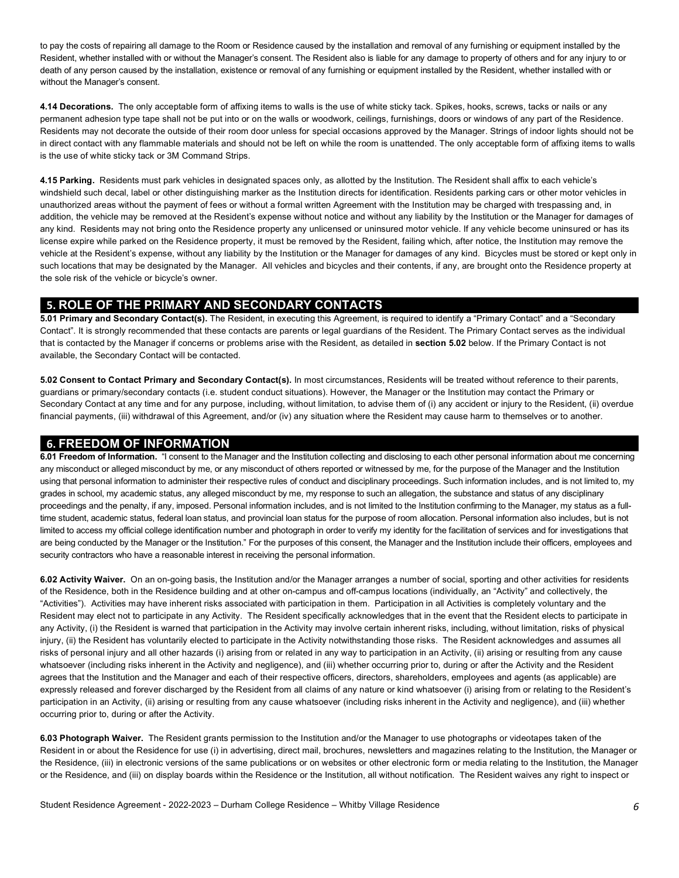to pay the costs of repairing all damage to the Room or Residence caused by the installation and removal of any furnishing or equipment installed by the Resident, whether installed with or without the Manager's consent. The Resident also is liable for any damage to property of others and for any injury to or death of any person caused by the installation, existence or removal of any furnishing or equipment installed by the Resident, whether installed with or without the Manager's consent.

 **4.14 Decorations.** The only acceptable form of affixing items to walls is the use of white sticky tack. Spikes, hooks, screws, tacks or nails or any permanent adhesion type tape shall not be put into or on the walls or woodwork, ceilings, furnishings, doors or windows of any part of the Residence. Residents may not decorate the outside of their room door unless for special occasions approved by the Manager. Strings of indoor lights should not be in direct contact with any flammable materials and should not be left on while the room is unattended. The only acceptable form of affixing items to walls is the use of white sticky tack or 3M Command Strips.

 **4.15 Parking.** Residents must park vehicles in designated spaces only, as allotted by the Institution. The Resident shall affix to each vehicle's windshield such decal, label or other distinguishing marker as the Institution directs for identification. Residents parking cars or other motor vehicles in unauthorized areas without the payment of fees or without a formal written Agreement with the Institution may be charged with trespassing and, in addition, the vehicle may be removed at the Resident's expense without notice and without any liability by the Institution or the Manager for damages of any kind. Residents may not bring onto the Residence property any unlicensed or uninsured motor vehicle. If any vehicle become uninsured or has its license expire while parked on the Residence property, it must be removed by the Resident, failing which, after notice, the Institution may remove the vehicle at the Resident's expense, without any liability by the Institution or the Manager for damages of any kind. Bicycles must be stored or kept only in such locations that may be designated by the Manager. All vehicles and bicycles and their contents, if any, are brought onto the Residence property at the sole risk of the vehicle or bicycle's owner.

## **5. ROLE OF THE PRIMARY AND SECONDARY CONTACTS**

 **5.01 Primary and Secondary Contact(s).** The Resident, in executing this Agreement, is required to identify a "Primary Contact" and a "Secondary Contact". It is strongly recommended that these contacts are parents or legal guardians of the Resident. The Primary Contact serves as the individual that is contacted by the Manager if concerns or problems arise with the Resident, as detailed in **section 5.02** below. If the Primary Contact is not available, the Secondary Contact will be contacted.

 **5.02 Consent to Contact Primary and Secondary Contact(s).** In most circumstances, Residents will be treated without reference to their parents, guardians or primary/secondary contacts (i.e. student conduct situations). However, the Manager or the Institution may contact the Primary or Secondary Contact at any time and for any purpose, including, without limitation, to advise them of (i) any accident or injury to the Resident, (ii) overdue financial payments, (iii) withdrawal of this Agreement, and/or (iv) any situation where the Resident may cause harm to themselves or to another.

#### **6. FREEDOM OF INFORMATION**

 **6.01 Freedom of Information.** "I consent to the Manager and the Institution collecting and disclosing to each other personal information about me concerning any misconduct or alleged misconduct by me, or any misconduct of others reported or witnessed by me, for the purpose of the Manager and the Institution using that personal information to administer their respective rules of conduct and disciplinary proceedings. Such information includes, and is not limited to, my grades in school, my academic status, any alleged misconduct by me, my response to such an allegation, the substance and status of any disciplinary proceedings and the penalty, if any, imposed. Personal information includes, and is not limited to the Institution confirming to the Manager, my status as a full- time student, academic status, federal loan status, and provincial loan status for the purpose of room allocation. Personal information also includes, but is not limited to access my official college identification number and photograph in order to verify my identity for the facilitation of services and for investigations that are being conducted by the Manager or the Institution." For the purposes of this consent, the Manager and the Institution include their officers, employees and security contractors who have a reasonable interest in receiving the personal information.

 **6.02 Activity Waiver.** On an on-going basis, the Institution and/or the Manager arranges a number of social, sporting and other activities for residents of the Residence, both in the Residence building and at other on-campus and off-campus locations (individually, an "Activity" and collectively, the "Activities"). Activities may have inherent risks associated with participation in them. Participation in all Activities is completely voluntary and the Resident may elect not to participate in any Activity. The Resident specifically acknowledges that in the event that the Resident elects to participate in any Activity, (i) the Resident is warned that participation in the Activity may involve certain inherent risks, including, without limitation, risks of physical injury, (ii) the Resident has voluntarily elected to participate in the Activity notwithstanding those risks. The Resident acknowledges and assumes all risks of personal injury and all other hazards (i) arising from or related in any way to participation in an Activity, (ii) arising or resulting from any cause whatsoever (including risks inherent in the Activity and negligence), and (iii) whether occurring prior to, during or after the Activity and the Resident agrees that the Institution and the Manager and each of their respective officers, directors, shareholders, employees and agents (as applicable) are expressly released and forever discharged by the Resident from all claims of any nature or kind whatsoever (i) arising from or relating to the Resident's participation in an Activity, (ii) arising or resulting from any cause whatsoever (including risks inherent in the Activity and negligence), and (iii) whether occurring prior to, during or after the Activity.

 **6.03 Photograph Waiver.** The Resident grants permission to the Institution and/or the Manager to use photographs or videotapes taken of the Resident in or about the Residence for use (i) in advertising, direct mail, brochures, newsletters and magazines relating to the Institution, the Manager or the Residence, (iii) in electronic versions of the same publications or on websites or other electronic form or media relating to the Institution, the Manager or the Residence, and (iii) on display boards within the Residence or the Institution, all without notification. The Resident waives any right to inspect or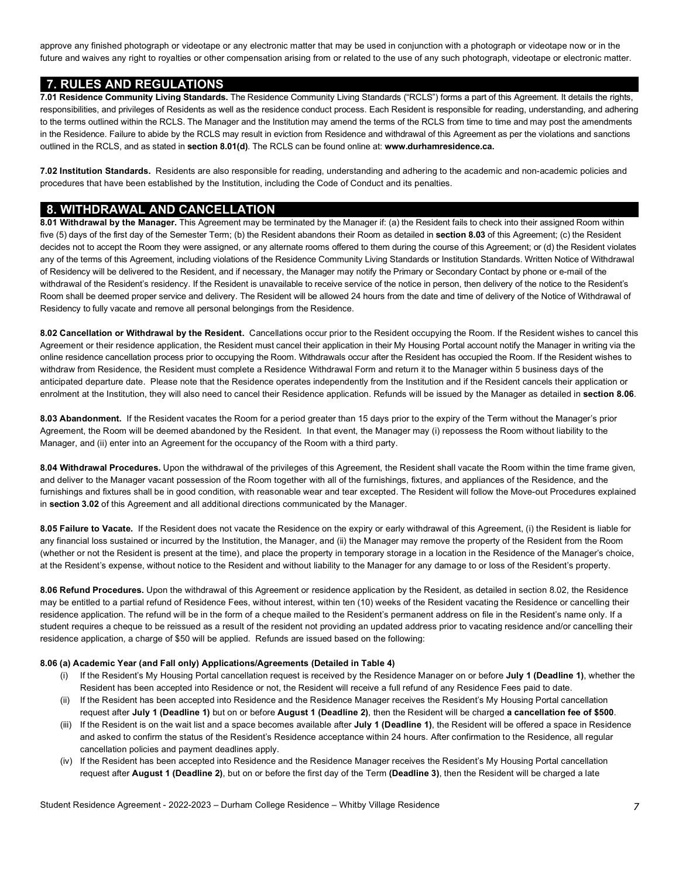approve any finished photograph or videotape or any electronic matter that may be used in conjunction with a photograph or videotape now or in the future and waives any right to royalties or other compensation arising from or related to the use of any such photograph, videotape or electronic matter.

### **7. RULES AND REGULATIONS**

 responsibilities, and privileges of Residents as well as the residence conduct process. Each Resident is responsible for reading, understanding, and adhering to the terms outlined within the RCLS. The Manager and the Institution may amend the terms of the RCLS from time to time and may post the amendments in the Residence. Failure to abide by the RCLS may result in eviction from Residence and withdrawal of this Agreement as per the violations and sanctions outlined in the RCLS, and as stated in **section 8.01(d)**. The RCLS can be found online at: **[www.durhamresidence.ca.](www.durhamresidence.ca) 7.01 Residence Community Living Standards.** The Residence Community Living Standards ("RCLS") forms a part of this Agreement. It details the rights,

 **7.02 Institution Standards.** Residents are also responsible for reading, understanding and adhering to the academic and non-academic policies and procedures that have been established by the Institution, including the Code of Conduct and its penalties.

#### **8. WITHDRAWAL AND CANCELLATION**

 **8.01 Withdrawal by the Manager.** This Agreement may be terminated by the Manager if: (a) the Resident fails to check into their assigned Room within five (5) days of the first day of the Semester Term; (b) the Resident abandons their Room as detailed in **section 8.03** of this Agreement; (c) the Resident decides not to accept the Room they were assigned, or any alternate rooms offered to them during the course of this Agreement; or (d) the Resident violates any of the terms of this Agreement, including violations of the Residence Community Living Standards or Institution Standards. Written Notice of Withdrawal of Residency will be delivered to the Resident, and if necessary, the Manager may notify the Primary or Secondary Contact by phone or e-mail of the withdrawal of the Resident's residency. If the Resident is unavailable to receive service of the notice in person, then delivery of the notice to the Resident's Room shall be deemed proper service and delivery. The Resident will be allowed 24 hours from the date and time of delivery of the Notice of Withdrawal of Residency to fully vacate and remove all personal belongings from the Residence.

 **8.02 Cancellation or Withdrawal by the Resident.** Cancellations occur prior to the Resident occupying the Room. If the Resident wishes to cancel this Agreement or their residence application, the Resident must cancel their application in their My Housing Portal account notify the Manager in writing via the online residence cancellation process prior to occupying the Room. Withdrawals occur after the Resident has occupied the Room. If the Resident wishes to withdraw from Residence, the Resident must complete a Residence Withdrawal Form and return it to the Manager within 5 business days of the anticipated departure date. Please note that the Residence operates independently from the Institution and if the Resident cancels their application or enrolment at the Institution, they will also need to cancel their Residence application. Refunds will be issued by the Manager as detailed in **section 8.06**.

 **8.03 Abandonment.** If the Resident vacates the Room for a period greater than 15 days prior to the expiry of the Term without the Manager's prior Agreement, the Room will be deemed abandoned by the Resident. In that event, the Manager may (i) repossess the Room without liability to the Manager, and (ii) enter into an Agreement for the occupancy of the Room with a third party.

 **8.04 Withdrawal Procedures.** Upon the withdrawal of the privileges of this Agreement, the Resident shall vacate the Room within the time frame given, and deliver to the Manager vacant possession of the Room together with all of the furnishings, fixtures, and appliances of the Residence, and the furnishings and fixtures shall be in good condition, with reasonable wear and tear excepted. The Resident will follow the Move-out Procedures explained in **section 3.02** of this Agreement and all additional directions communicated by the Manager.

 **8.05 Failure to Vacate.** If the Resident does not vacate the Residence on the expiry or early withdrawal of this Agreement, (i) the Resident is liable for any financial loss sustained or incurred by the Institution, the Manager, and (ii) the Manager may remove the property of the Resident from the Room (whether or not the Resident is present at the time), and place the property in temporary storage in a location in the Residence of the Manager's choice, at the Resident's expense, without notice to the Resident and without liability to the Manager for any damage to or loss of the Resident's property.

 **8.06 Refund Procedures.** Upon the withdrawal of this Agreement or residence application by the Resident, as detailed in section 8.02, the Residence may be entitled to a partial refund of Residence Fees, without interest, within ten (10) weeks of the Resident vacating the Residence or cancelling their residence application. The refund will be in the form of a cheque mailed to the Resident's permanent address on file in the Resident's name only. If a student requires a cheque to be reissued as a result of the resident not providing an updated address prior to vacating residence and/or cancelling their residence application, a charge of \$50 will be applied. Refunds are issued based on the following:

#### **8.06 (a) Academic Year (and Fall only) Applications/Agreements (Detailed in Table 4)**

- (i) If the Resident's My Housing Portal cancellation request is received by the Residence Manager on or before **July 1 (Deadline 1)**, whether the Resident has been accepted into Residence or not, the Resident will receive a full refund of any Residence Fees paid to date.
- request after **July 1 (Deadline 1)** but on or before **August 1 (Deadline 2)**, then the Resident will be charged **a cancellation fee of \$500**. (ii) If the Resident has been accepted into Residence and the Residence Manager receives the Resident's My Housing Portal cancellation
- (iii) If the Resident is on the wait list and a space becomes available after **July 1 (Deadline 1)**, the Resident will be offered a space in Residence and asked to confirm the status of the Resident's Residence acceptance within 24 hours. After confirmation to the Residence, all regular cancellation policies and payment deadlines apply.
- request after **August 1 (Deadline 2)**, but on or before the first day of the Term **(Deadline 3)**, then the Resident will be charged a late (iv) If the Resident has been accepted into Residence and the Residence Manager receives the Resident's My Housing Portal cancellation

Student Residence Agreement - 2022-2023 – Durham College Residence – Whitby Village Residence *7*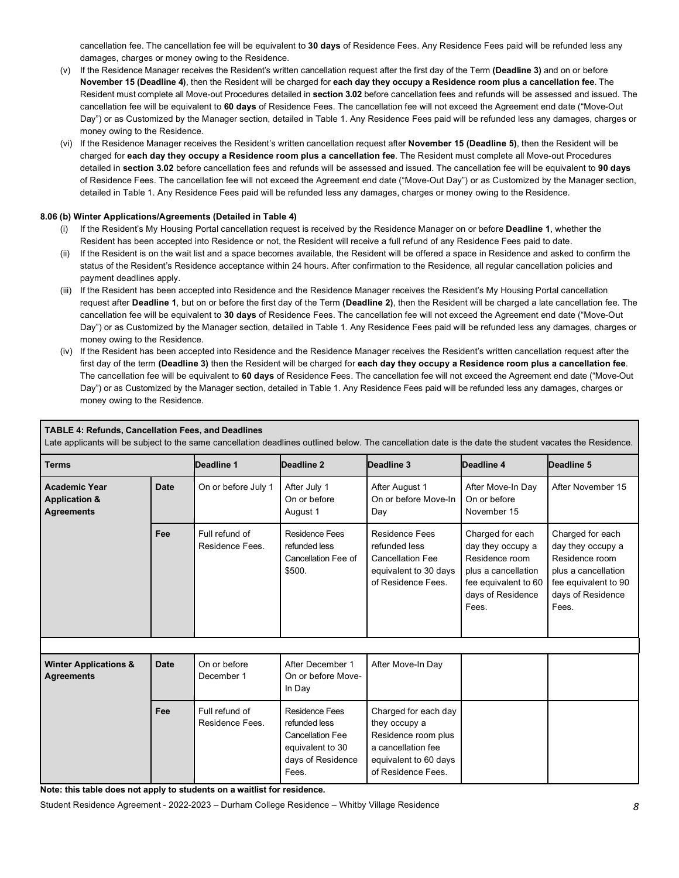cancellation fee. The cancellation fee will be equivalent to **30 days** of Residence Fees. Any Residence Fees paid will be refunded less any damages, charges or money owing to the Residence.

- **November 15 (Deadline 4)**, then the Resident will be charged for **each day they occupy a Residence room plus a cancellation fee**. The Resident must complete all Move-out Procedures detailed in **section 3.02** before cancellation fees and refunds will be assessed and issued. The cancellation fee will be equivalent to **60 days** of Residence Fees. The cancellation fee will not exceed the Agreement end date ("Move-Out Day") or as Customized by the Manager section, detailed in Table 1. Any Residence Fees paid will be refunded less any damages, charges or money owing to the Residence. (v) If the Residence Manager receives the Resident's written cancellation request after the first day of the Term **(Deadline 3)** and on or before
- (vi) If the Residence Manager receives the Resident's written cancellation request after **November 15 (Deadline 5)**, then the Resident will be charged for **each day they occupy a Residence room plus a cancellation fee**. The Resident must complete all Move-out Procedures detailed in **section 3.02** before cancellation fees and refunds will be assessed and issued. The cancellation fee will be equivalent to **90 days**  of Residence Fees. The cancellation fee will not exceed the Agreement end date ("Move-Out Day") or as Customized by the Manager section, detailed in Table 1. Any Residence Fees paid will be refunded less any damages, charges or money owing to the Residence.

#### **8.06 (b) Winter Applications/Agreements (Detailed in Table 4)**

- (i) If the Resident's My Housing Portal cancellation request is received by the Residence Manager on or before **Deadline 1**, whether the Resident has been accepted into Residence or not, the Resident will receive a full refund of any Residence Fees paid to date.
- (ii) If the Resident is on the wait list and a space becomes available, the Resident will be offered a space in Residence and asked to confirm the status of the Resident's Residence acceptance within 24 hours. After confirmation to the Residence, all regular cancellation policies and payment deadlines apply.
- request after **Deadline 1**, but on or before the first day of the Term **(Deadline 2)**, then the Resident will be charged a late cancellation fee. The cancellation fee will be equivalent to **30 days** of Residence Fees. The cancellation fee will not exceed the Agreement end date ("Move-Out Day") or as Customized by the Manager section, detailed in Table 1. Any Residence Fees paid will be refunded less any damages, charges or money owing to the Residence. (iii) If the Resident has been accepted into Residence and the Residence Manager receives the Resident's My Housing Portal cancellation
- (iv) If the Resident has been accepted into Residence and the Residence Manager receives the Resident's written cancellation request after the The cancellation fee will be equivalent to **60 days** of Residence Fees. The cancellation fee will not exceed the Agreement end date ("Move-Out Day") or as Customized by the Manager section, detailed in Table 1. Any Residence Fees paid will be refunded less any damages, charges or money owing to the Residence. first day of the term **(Deadline 3)** then the Resident will be charged for **each day they occupy a Residence room plus a cancellation fee**.

| <b>TABLE 4: Refunds, Cancellation Fees, and Deadlines</b><br>Late applicants will be subject to the same cancellation deadlines outlined below. The cancellation date is the date the student vacates the Residence. |             |                                   |                                                                                                                     |                                                                                                                                   |                                                                                                                                      |                                                                                                                                      |  |  |
|----------------------------------------------------------------------------------------------------------------------------------------------------------------------------------------------------------------------|-------------|-----------------------------------|---------------------------------------------------------------------------------------------------------------------|-----------------------------------------------------------------------------------------------------------------------------------|--------------------------------------------------------------------------------------------------------------------------------------|--------------------------------------------------------------------------------------------------------------------------------------|--|--|
| <b>Terms</b>                                                                                                                                                                                                         |             | Deadline 1                        | Deadline 2                                                                                                          | Deadline 3                                                                                                                        | Deadline 4                                                                                                                           | Deadline 5                                                                                                                           |  |  |
| <b>Academic Year</b><br><b>Application &amp;</b><br><b>Agreements</b>                                                                                                                                                | <b>Date</b> | On or before July 1               | After July 1<br>On or before<br>August 1                                                                            | After August 1<br>On or before Move-In<br>Day                                                                                     | After Move-In Day<br>On or before<br>November 15                                                                                     | After November 15                                                                                                                    |  |  |
|                                                                                                                                                                                                                      | Fee         | Full refund of<br>Residence Fees. | Residence Fees<br>refunded less<br>Cancellation Fee of<br>\$500.                                                    | <b>Residence Fees</b><br>refunded less<br><b>Cancellation Fee</b><br>equivalent to 30 days<br>of Residence Fees.                  | Charged for each<br>day they occupy a<br>Residence room<br>plus a cancellation<br>fee equivalent to 60<br>days of Residence<br>Fees. | Charged for each<br>day they occupy a<br>Residence room<br>plus a cancellation<br>fee equivalent to 90<br>days of Residence<br>Fees. |  |  |
|                                                                                                                                                                                                                      |             |                                   |                                                                                                                     |                                                                                                                                   |                                                                                                                                      |                                                                                                                                      |  |  |
| <b>Winter Applications &amp;</b><br><b>Agreements</b>                                                                                                                                                                | <b>Date</b> | On or before<br>December 1        | After December 1<br>On or before Move-<br>In Day                                                                    | After Move-In Day                                                                                                                 |                                                                                                                                      |                                                                                                                                      |  |  |
|                                                                                                                                                                                                                      | Fee         | Full refund of<br>Residence Fees. | <b>Residence Fees</b><br>refunded less<br><b>Cancellation Fee</b><br>equivalent to 30<br>days of Residence<br>Fees. | Charged for each day<br>they occupy a<br>Residence room plus<br>a cancellation fee<br>equivalent to 60 days<br>of Residence Fees. |                                                                                                                                      |                                                                                                                                      |  |  |

 **Note: this table does not apply to students on a waitlist for residence.** 

Student Residence Agreement - 2022-2023 – Durham College Residence – Whitby Village Residence *8*